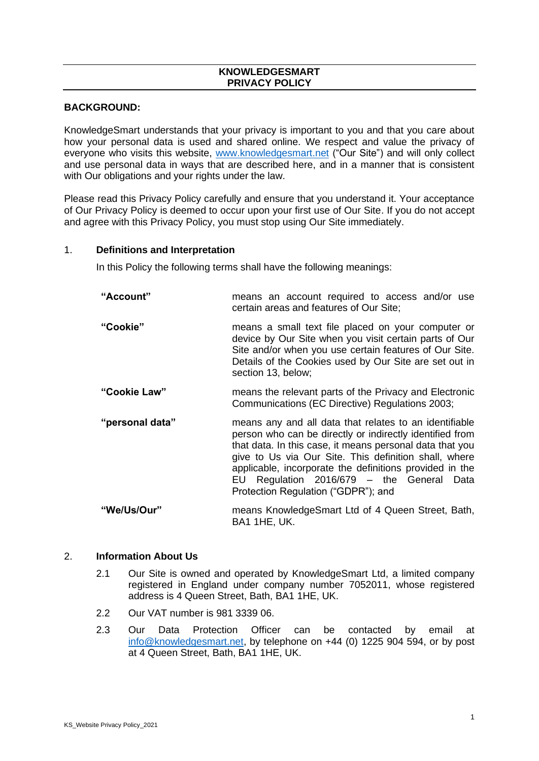## **KNOWLEDGESMART PRIVACY POLICY**

#### **BACKGROUND:**

KnowledgeSmart understands that your privacy is important to you and that you care about how your personal data is used and shared online. We respect and value the privacy of everyone who visits this website, [www.knowledgesmart.net](http://www.knowledgesmart.net/) ("Our Site") and will only collect and use personal data in ways that are described here, and in a manner that is consistent with Our obligations and your rights under the law.

Please read this Privacy Policy carefully and ensure that you understand it. Your acceptance of Our Privacy Policy is deemed to occur upon your first use of Our Site. If you do not accept and agree with this Privacy Policy, you must stop using Our Site immediately.

#### 1. **Definitions and Interpretation**

In this Policy the following terms shall have the following meanings:

| "Account"                                                           | means an account required to access and/or use<br>certain areas and features of Our Site;                                                                                                                                                                                                                                                                                              |  |
|---------------------------------------------------------------------|----------------------------------------------------------------------------------------------------------------------------------------------------------------------------------------------------------------------------------------------------------------------------------------------------------------------------------------------------------------------------------------|--|
| "Cookie"                                                            | means a small text file placed on your computer or<br>device by Our Site when you visit certain parts of Our<br>Site and/or when you use certain features of Our Site.<br>Details of the Cookies used by Our Site are set out in<br>section 13, below;                                                                                                                                 |  |
| "Cookie Law"                                                        | means the relevant parts of the Privacy and Electronic<br>Communications (EC Directive) Regulations 2003;                                                                                                                                                                                                                                                                              |  |
| "personal data"                                                     | means any and all data that relates to an identifiable<br>person who can be directly or indirectly identified from<br>that data. In this case, it means personal data that you<br>give to Us via Our Site. This definition shall, where<br>applicable, incorporate the definitions provided in the<br>EU Regulation 2016/679 - the General Data<br>Protection Regulation ("GDPR"); and |  |
| $\mathcal{L}(\mathbf{M}_{\mathbf{A}})$ is $\mathbf{M}_{\mathbf{A}}$ | moans Knowledge Smart Ltd of 4 Queen Street Bath                                                                                                                                                                                                                                                                                                                                       |  |

#### **"We/Us/Our"** means KnowledgeSmart Ltd of 4 Queen Street, Bath, BA1 1HE, UK.

#### 2. **Information About Us**

- 2.1 Our Site is owned and operated by KnowledgeSmart Ltd, a limited company registered in England under company number 7052011, whose registered address is 4 Queen Street, Bath, BA1 1HE, UK.
- 2.2 Our VAT number is 981 3339 06.
- 2.3 Our Data Protection Officer can be contacted by email at [info@knowledgesmart.net,](mailto:info@knowledgesmart.net) by telephone on +44 (0) 1225 904 594, or by post at 4 Queen Street, Bath, BA1 1HE, UK.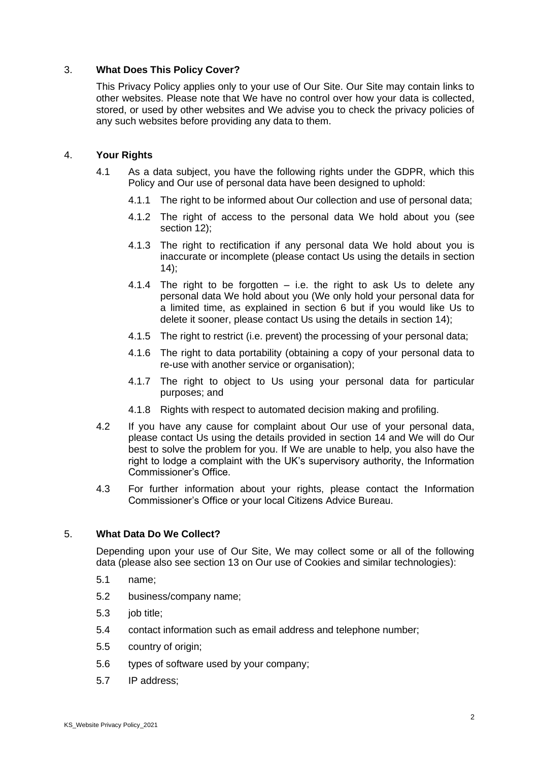## 3. **What Does This Policy Cover?**

This Privacy Policy applies only to your use of Our Site. Our Site may contain links to other websites. Please note that We have no control over how your data is collected, stored, or used by other websites and We advise you to check the privacy policies of any such websites before providing any data to them.

## 4. **Your Rights**

- 4.1 As a data subject, you have the following rights under the GDPR, which this Policy and Our use of personal data have been designed to uphold:
	- 4.1.1 The right to be informed about Our collection and use of personal data;
	- 4.1.2 The right of access to the personal data We hold about you (see section 12);
	- 4.1.3 The right to rectification if any personal data We hold about you is inaccurate or incomplete (please contact Us using the details in section  $(14)$ ;
	- 4.1.4 The right to be forgotten  $-$  i.e. the right to ask Us to delete any personal data We hold about you (We only hold your personal data for a limited time, as explained in section 6 but if you would like Us to delete it sooner, please contact Us using the details in section 14);
	- 4.1.5 The right to restrict (i.e. prevent) the processing of your personal data;
	- 4.1.6 The right to data portability (obtaining a copy of your personal data to re-use with another service or organisation);
	- 4.1.7 The right to object to Us using your personal data for particular purposes; and
	- 4.1.8 Rights with respect to automated decision making and profiling.
- 4.2 If you have any cause for complaint about Our use of your personal data, please contact Us using the details provided in section 14 and We will do Our best to solve the problem for you. If We are unable to help, you also have the right to lodge a complaint with the UK's supervisory authority, the Information Commissioner's Office.
- 4.3 For further information about your rights, please contact the Information Commissioner's Office or your local Citizens Advice Bureau.

## 5. **What Data Do We Collect?**

Depending upon your use of Our Site, We may collect some or all of the following data (please also see section 13 on Our use of Cookies and similar technologies):

- 5.1 name;
- 5.2 business/company name;
- 5.3 job title;
- 5.4 contact information such as email address and telephone number;
- 5.5 country of origin;
- 5.6 types of software used by your company;
- 5.7 IP address;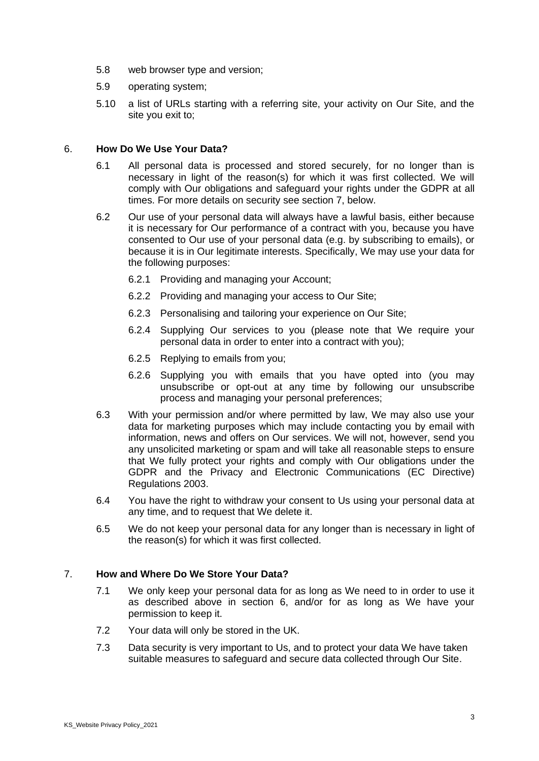- 5.8 web browser type and version;
- 5.9 operating system;
- 5.10 a list of URLs starting with a referring site, your activity on Our Site, and the site you exit to;

### 6. **How Do We Use Your Data?**

- 6.1 All personal data is processed and stored securely, for no longer than is necessary in light of the reason(s) for which it was first collected. We will comply with Our obligations and safeguard your rights under the GDPR at all times. For more details on security see section 7, below.
- 6.2 Our use of your personal data will always have a lawful basis, either because it is necessary for Our performance of a contract with you, because you have consented to Our use of your personal data (e.g. by subscribing to emails), or because it is in Our legitimate interests. Specifically, We may use your data for the following purposes:
	- 6.2.1 Providing and managing your Account;
	- 6.2.2 Providing and managing your access to Our Site;
	- 6.2.3 Personalising and tailoring your experience on Our Site;
	- 6.2.4 Supplying Our services to you (please note that We require your personal data in order to enter into a contract with you);
	- 6.2.5 Replying to emails from you;
	- 6.2.6 Supplying you with emails that you have opted into (you may unsubscribe or opt-out at any time by following our unsubscribe process and managing your personal preferences;
- 6.3 With your permission and/or where permitted by law, We may also use your data for marketing purposes which may include contacting you by email with information, news and offers on Our services. We will not, however, send you any unsolicited marketing or spam and will take all reasonable steps to ensure that We fully protect your rights and comply with Our obligations under the GDPR and the Privacy and Electronic Communications (EC Directive) Regulations 2003.
- 6.4 You have the right to withdraw your consent to Us using your personal data at any time, and to request that We delete it.
- 6.5 We do not keep your personal data for any longer than is necessary in light of the reason(s) for which it was first collected.

## 7. **How and Where Do We Store Your Data?**

- 7.1 We only keep your personal data for as long as We need to in order to use it as described above in section 6, and/or for as long as We have your permission to keep it.
- 7.2 Your data will only be stored in the UK.
- 7.3 Data security is very important to Us, and to protect your data We have taken suitable measures to safeguard and secure data collected through Our Site.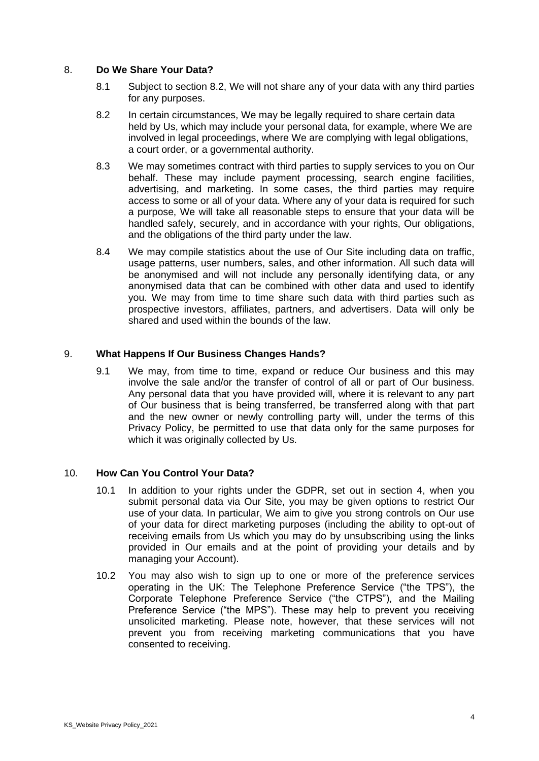### 8. **Do We Share Your Data?**

- 8.1 Subject to section 8.2, We will not share any of your data with any third parties for any purposes.
- 8.2 In certain circumstances, We may be legally required to share certain data held by Us, which may include your personal data, for example, where We are involved in legal proceedings, where We are complying with legal obligations, a court order, or a governmental authority.
- 8.3 We may sometimes contract with third parties to supply services to you on Our behalf. These may include payment processing, search engine facilities, advertising, and marketing. In some cases, the third parties may require access to some or all of your data. Where any of your data is required for such a purpose, We will take all reasonable steps to ensure that your data will be handled safely, securely, and in accordance with your rights, Our obligations, and the obligations of the third party under the law.
- 8.4 We may compile statistics about the use of Our Site including data on traffic, usage patterns, user numbers, sales, and other information. All such data will be anonymised and will not include any personally identifying data, or any anonymised data that can be combined with other data and used to identify you. We may from time to time share such data with third parties such as prospective investors, affiliates, partners, and advertisers. Data will only be shared and used within the bounds of the law.

#### 9. **What Happens If Our Business Changes Hands?**

9.1 We may, from time to time, expand or reduce Our business and this may involve the sale and/or the transfer of control of all or part of Our business. Any personal data that you have provided will, where it is relevant to any part of Our business that is being transferred, be transferred along with that part and the new owner or newly controlling party will, under the terms of this Privacy Policy, be permitted to use that data only for the same purposes for which it was originally collected by Us.

#### 10. **How Can You Control Your Data?**

- 10.1 In addition to your rights under the GDPR, set out in section 4, when you submit personal data via Our Site, you may be given options to restrict Our use of your data. In particular, We aim to give you strong controls on Our use of your data for direct marketing purposes (including the ability to opt-out of receiving emails from Us which you may do by unsubscribing using the links provided in Our emails and at the point of providing your details and by managing your Account).
- 10.2 You may also wish to sign up to one or more of the preference services operating in the UK: The Telephone Preference Service ("the TPS"), the Corporate Telephone Preference Service ("the CTPS"), and the Mailing Preference Service ("the MPS"). These may help to prevent you receiving unsolicited marketing. Please note, however, that these services will not prevent you from receiving marketing communications that you have consented to receiving.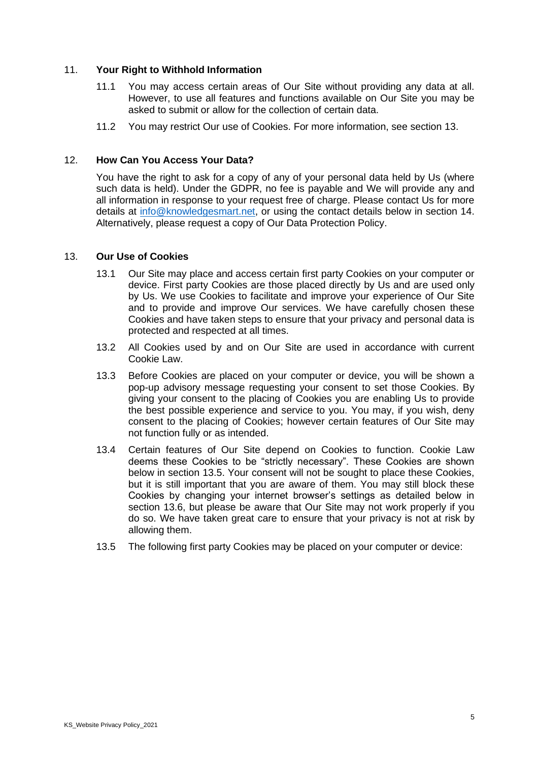### 11. **Your Right to Withhold Information**

- 11.1 You may access certain areas of Our Site without providing any data at all. However, to use all features and functions available on Our Site you may be asked to submit or allow for the collection of certain data.
- 11.2 You may restrict Our use of Cookies. For more information, see section 13.

#### 12. **How Can You Access Your Data?**

You have the right to ask for a copy of any of your personal data held by Us (where such data is held). Under the GDPR, no fee is payable and We will provide any and all information in response to your request free of charge. Please contact Us for more details at [info@knowledgesmart.net,](mailto:info@knowledgesmart.net) or using the contact details below in section 14. Alternatively, please request a copy of Our Data Protection Policy.

#### 13. **Our Use of Cookies**

- 13.1 Our Site may place and access certain first party Cookies on your computer or device. First party Cookies are those placed directly by Us and are used only by Us. We use Cookies to facilitate and improve your experience of Our Site and to provide and improve Our services. We have carefully chosen these Cookies and have taken steps to ensure that your privacy and personal data is protected and respected at all times.
- 13.2 All Cookies used by and on Our Site are used in accordance with current Cookie Law.
- 13.3 Before Cookies are placed on your computer or device, you will be shown a pop-up advisory message requesting your consent to set those Cookies. By giving your consent to the placing of Cookies you are enabling Us to provide the best possible experience and service to you. You may, if you wish, deny consent to the placing of Cookies; however certain features of Our Site may not function fully or as intended.
- 13.4 Certain features of Our Site depend on Cookies to function. Cookie Law deems these Cookies to be "strictly necessary". These Cookies are shown below in section 13.5. Your consent will not be sought to place these Cookies, but it is still important that you are aware of them. You may still block these Cookies by changing your internet browser's settings as detailed below in section 13.6, but please be aware that Our Site may not work properly if you do so. We have taken great care to ensure that your privacy is not at risk by allowing them.
- 13.5 The following first party Cookies may be placed on your computer or device: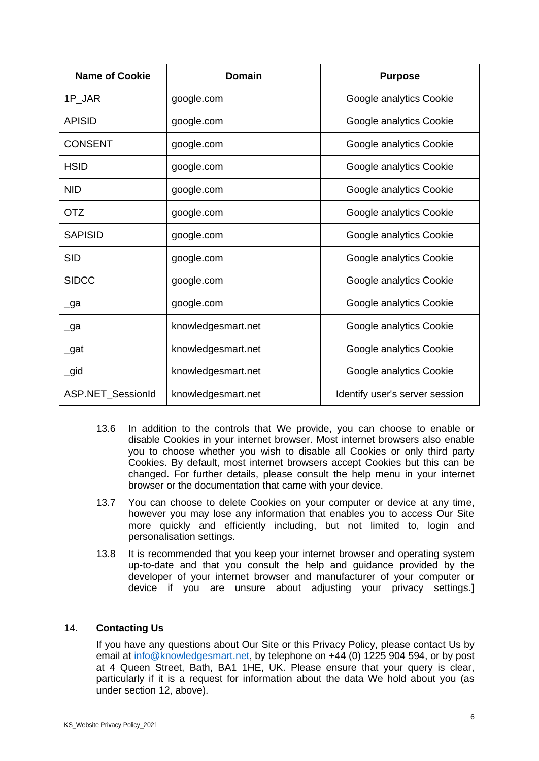| <b>Name of Cookie</b> | <b>Domain</b>      | <b>Purpose</b>                 |
|-----------------------|--------------------|--------------------------------|
| 1P JAR                | google.com         | Google analytics Cookie        |
| <b>APISID</b>         | google.com         | Google analytics Cookie        |
| <b>CONSENT</b>        | google.com         | Google analytics Cookie        |
| <b>HSID</b>           | google.com         | Google analytics Cookie        |
| <b>NID</b>            | google.com         | Google analytics Cookie        |
| <b>OTZ</b>            | google.com         | Google analytics Cookie        |
| <b>SAPISID</b>        | google.com         | Google analytics Cookie        |
| <b>SID</b>            | google.com         | Google analytics Cookie        |
| <b>SIDCC</b>          | google.com         | Google analytics Cookie        |
| $\lrcorner$ ga        | google.com         | Google analytics Cookie        |
| _ga                   | knowledgesmart.net | Google analytics Cookie        |
| $\_$ gat              | knowledgesmart.net | Google analytics Cookie        |
| $\_$ gid              | knowledgesmart.net | Google analytics Cookie        |
| ASP.NET_SessionId     | knowledgesmart.net | Identify user's server session |

- 13.6 In addition to the controls that We provide, you can choose to enable or disable Cookies in your internet browser. Most internet browsers also enable you to choose whether you wish to disable all Cookies or only third party Cookies. By default, most internet browsers accept Cookies but this can be changed. For further details, please consult the help menu in your internet browser or the documentation that came with your device.
- 13.7 You can choose to delete Cookies on your computer or device at any time, however you may lose any information that enables you to access Our Site more quickly and efficiently including, but not limited to, login and personalisation settings.
- 13.8 It is recommended that you keep your internet browser and operating system up-to-date and that you consult the help and guidance provided by the developer of your internet browser and manufacturer of your computer or device if you are unsure about adjusting your privacy settings.**]**

# 14. **Contacting Us**

If you have any questions about Our Site or this Privacy Policy, please contact Us by email at [info@knowledgesmart.net,](mailto:info@knowledgesmart.net) by telephone on +44 (0) 1225 904 594, or by post at 4 Queen Street, Bath, BA1 1HE, UK. Please ensure that your query is clear, particularly if it is a request for information about the data We hold about you (as under section 12, above).